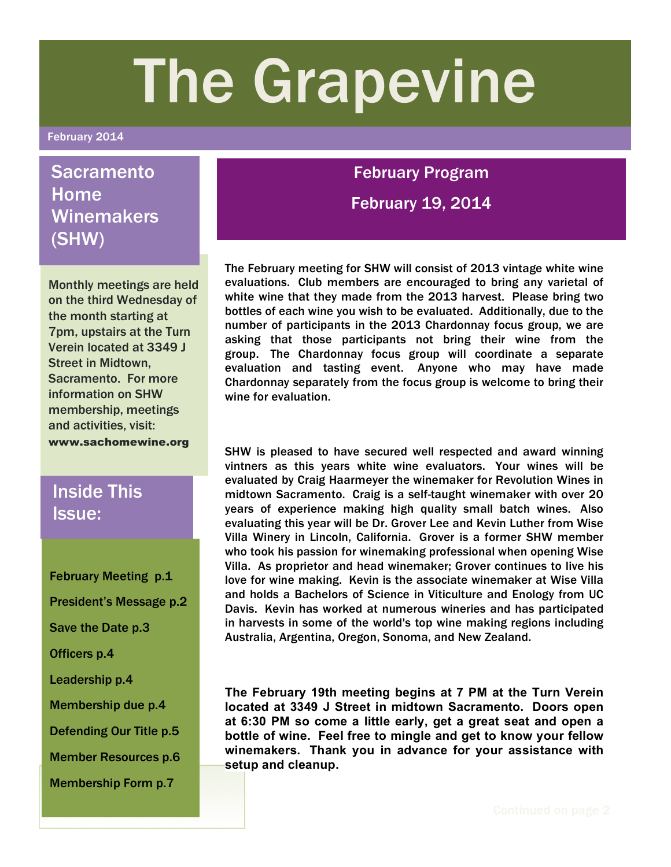# The Grapevine

#### February 2014

# **Sacramento** Home **Winemakers** (SHW)

Monthly meetings are held on the third Wednesday of the month starting at 7pm, upstairs at the Turn Verein located at 3349 J Street in Midtown, Sacramento. For more information on SHW membership, meetings and activities, visit: www.sachomewine.org

# Inside This Issue:

February Meeting p.1 President's Message p.2 Save the Date p.3 Officers p.4 Leadership p.4 Membership due p.4 Defending Our Title p.5 Member Resources p.6 Membership Form p.7

## February Program

February 19, 2014

The February meeting for SHW will consist of 2013 vintage white wine evaluations. Club members are encouraged to bring any varietal of white wine that they made from the 2013 harvest. Please bring two bottles of each wine you wish to be evaluated. Additionally, due to the number of participants in the 2013 Chardonnay focus group, we are asking that those participants not bring their wine from the group. The Chardonnay focus group will coordinate a separate evaluation and tasting event. Anyone who may have made Chardonnay separately from the focus group is welcome to bring their wine for evaluation.

SHW is pleased to have secured well respected and award winning vintners as this years white wine evaluators. Your wines will be evaluated by Craig Haarmeyer the winemaker for Revolution Wines in midtown Sacramento. Craig is a self-taught winemaker with over 20 years of experience making high quality small batch wines. Also evaluating this year will be Dr. Grover Lee and Kevin Luther from Wise Villa Winery in Lincoln, California. Grover is a former SHW member who took his passion for winemaking professional when opening Wise Villa. As proprietor and head winemaker; Grover continues to live his love for wine making. Kevin is the associate winemaker at Wise Villa and holds a Bachelors of Science in Viticulture and Enology from UC Davis. Kevin has worked at numerous wineries and has participated in harvests in some of the world's top wine making regions including Australia, Argentina, Oregon, Sonoma, and New Zealand.

**The February 19th meeting begins at 7 PM at the Turn Verein located at 3349 J Street in midtown Sacramento. Doors open at 6:30 PM so come a little early, get a great seat and open a bottle of wine. Feel free to mingle and get to know your fellow winemakers. Thank you in advance for your assistance with setup and cleanup.**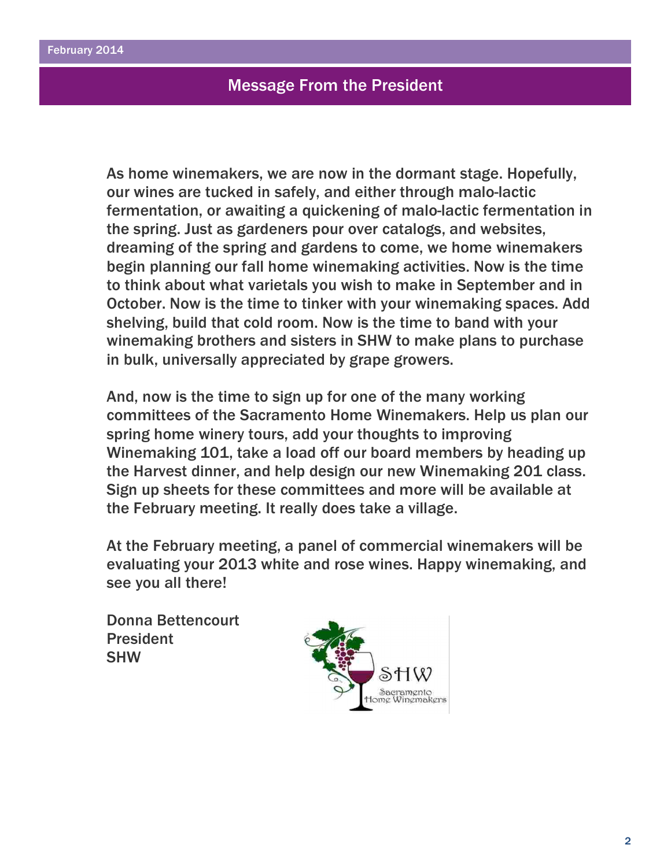## Message From the President

As home winemakers, we are now in the dormant stage. Hopefully, our wines are tucked in safely, and either through malo-lactic fermentation, or awaiting a quickening of malo-lactic fermentation in the spring. Just as gardeners pour over catalogs, and websites, dreaming of the spring and gardens to come, we home winemakers begin planning our fall home winemaking activities. Now is the time to think about what varietals you wish to make in September and in October. Now is the time to tinker with your winemaking spaces. Add shelving, build that cold room. Now is the time to band with your winemaking brothers and sisters in SHW to make plans to purchase in bulk, universally appreciated by grape growers.

And, now is the time to sign up for one of the many working committees of the Sacramento Home Winemakers. Help us plan our spring home winery tours, add your thoughts to improving Winemaking 101, take a load off our board members by heading up the Harvest dinner, and help design our new Winemaking 201 class. Sign up sheets for these committees and more will be available at the February meeting. It really does take a village.

At the February meeting, a panel of commercial winemakers will be evaluating your 2013 white and rose wines. Happy winemaking, and see you all there!

Donna Bettencourt President SHW

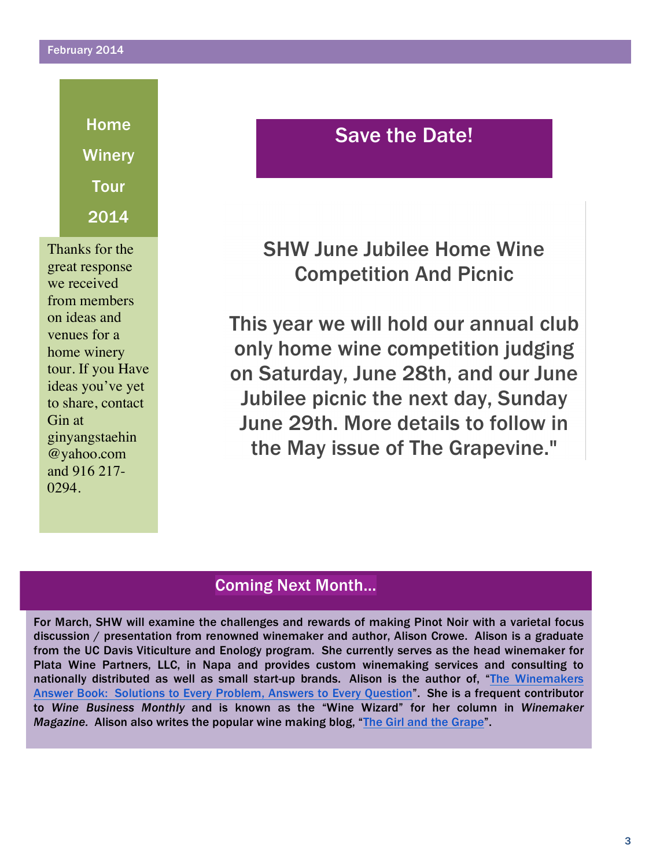#### February 2014

Home **Winery** Tour 2014

Thanks for the great response we received from members on ideas and venues for a home winery tour. If you Have ideas you've yet to share, contact Gin at ginyangstaehin @yahoo.com and 916 217- 0294.

# Save the Date!

SHW June Jubilee Home Wine Competition And Picnic

This year we will hold our annual club only home wine competition judging on Saturday, June 28th, and our June Jubilee picnic the next day, Sunday June 29th. More details to follow in the May issue of The Grapevine."

## Coming Next Month…

For March, SHW will examine the challenges and rewards of making Pinot Noir with a varietal focus discussion / presentation from renowned winemaker and author, Alison Crowe. Alison is a graduate from the UC Davis Viticulture and Enology program. She currently serves as the head winemaker for Plata Wine Partners, LLC, in Napa and provides custom winemaking services and consulting to nationally distributed as well as small start-up brands. Alison is the author of, "The Winemakers Answer Book: Solutions to Every Problem, Answers to Every Question". She is a frequent contributor to *Wine Business Monthly* and is known as the "Wine Wizard" for her column in *Winemaker Magazine.* Alison also writes the popular wine making blog, "The Girl and the Grape".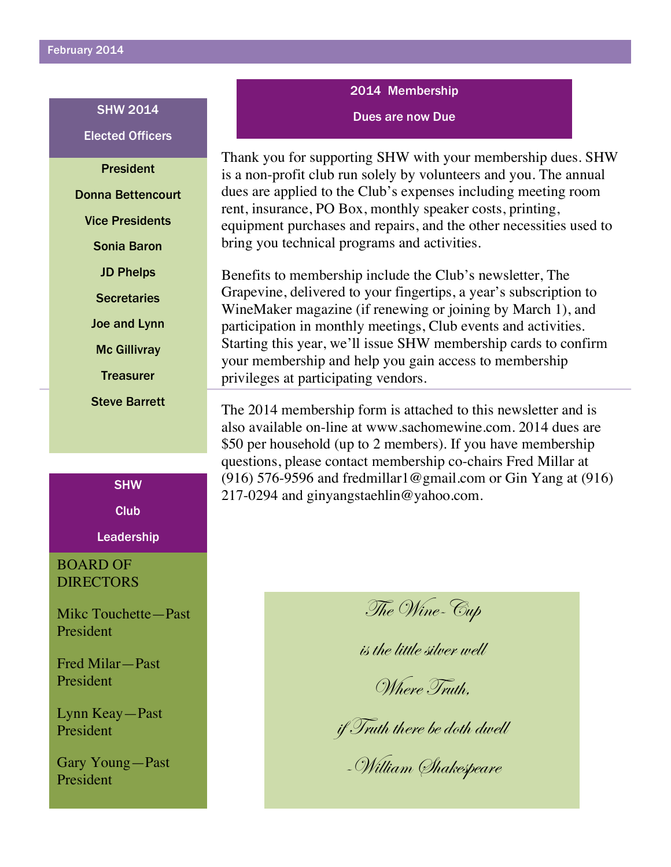21

Dues are now Due SHW 2014 Elected Officers

President Donna Bettencourt Vice Presidents Sonia Baron JD Phelps **Secretaries** Joe and Lynn Mc Gillivray **Treasurer** Steve Barrett

**SHW** 

Club

**Leadership** 

## BOARD OF DIRECTORS

Mikc Touchette—Past President

Fred Milar—Past President

Lynn Keay—Past President

Gary Young—Past President

2014 Membership

Thank you for supporting SHW with your membership dues. SHW is a non-profit club run solely by volunteers and you. The annual dues are applied to the Club's expenses including meeting room rent, insurance, PO Box, monthly speaker costs, printing, equipment purchases and repairs, and the other necessities used to bring you technical programs and activities.

Benefits to membership include the Club's newsletter, The Grapevine, delivered to your fingertips, a year's subscription to WineMaker magazine (if renewing or joining by March 1), and participation in monthly meetings, Club events and activities. Starting this year, we'll issue SHW membership cards to confirm your membership and help you gain access to membership privileges at participating vendors.

The 2014 membership form is attached to this newsletter and is also available on-line at www.sachomewine.com. 2014 dues are \$50 per household (up to 2 members). If you have membership questions, please contact membership co-chairs Fred Millar at (916) 576-9596 and fredmillar  $\log$  mail.com or Gin Yang at (916) 217-0294 and ginyangstaehlin@yahoo.com.

The Wine-Cup

is the little silver well

Where Truth,

if Truth there be doth dwell

-William Shakespeare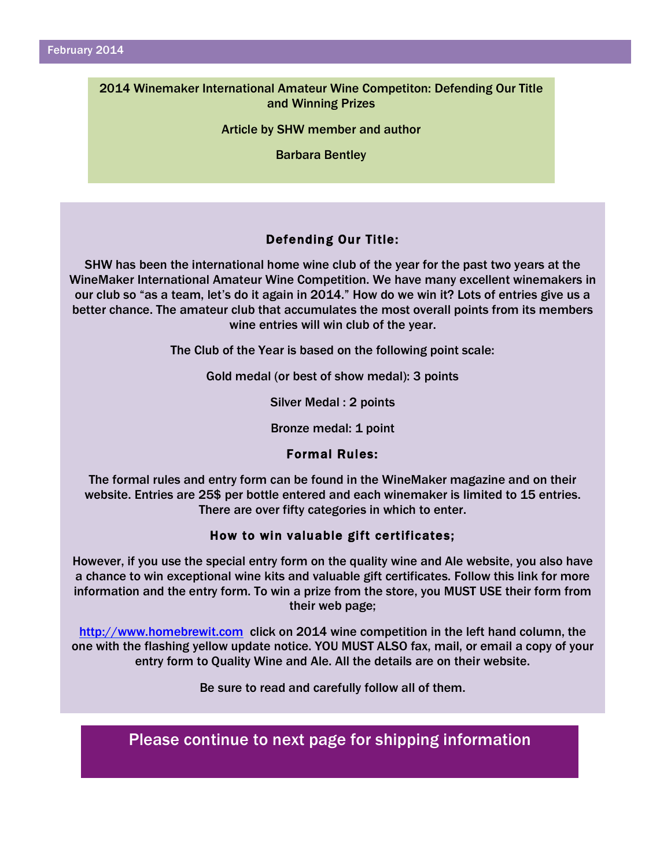#### 2014 Winemaker International Amateur Wine Competiton: Defending Our Title and Winning Prizes

Article by SHW member and author

Barbara Bentley

### Defending Our Title:

SHW has been the international home wine club of the year for the past two years at the WineMaker International Amateur Wine Competition. We have many excellent winemakers in our club so "as a team, let's do it again in 2014." How do we win it? Lots of entries give us a better chance. The amateur club that accumulates the most overall points from its members wine entries will win club of the year.

The Club of the Year is based on the following point scale:

Gold medal (or best of show medal): 3 points

Silver Medal : 2 points

Bronze medal: 1 point

#### Formal Rules:

The formal rules and entry form can be found in the WineMaker magazine and on their website. Entries are 25\$ per bottle entered and each winemaker is limited to 15 entries. There are over fifty categories in which to enter.

#### How to win valuable gift certificates;

However, if you use the special entry form on the quality wine and Ale website, you also have a chance to win exceptional wine kits and valuable gift certificates. Follow this link for more information and the entry form. To win a prize from the store, you MUST USE their form from their web page;

http://www.homebrewit.com click on 2014 wine competition in the left hand column, the one with the flashing yellow update notice. YOU MUST ALSO fax, mail, or email a copy of your entry form to Quality Wine and Ale. All the details are on their website.

Be sure to read and carefully follow all of them.

Please continue to next page for shipping information